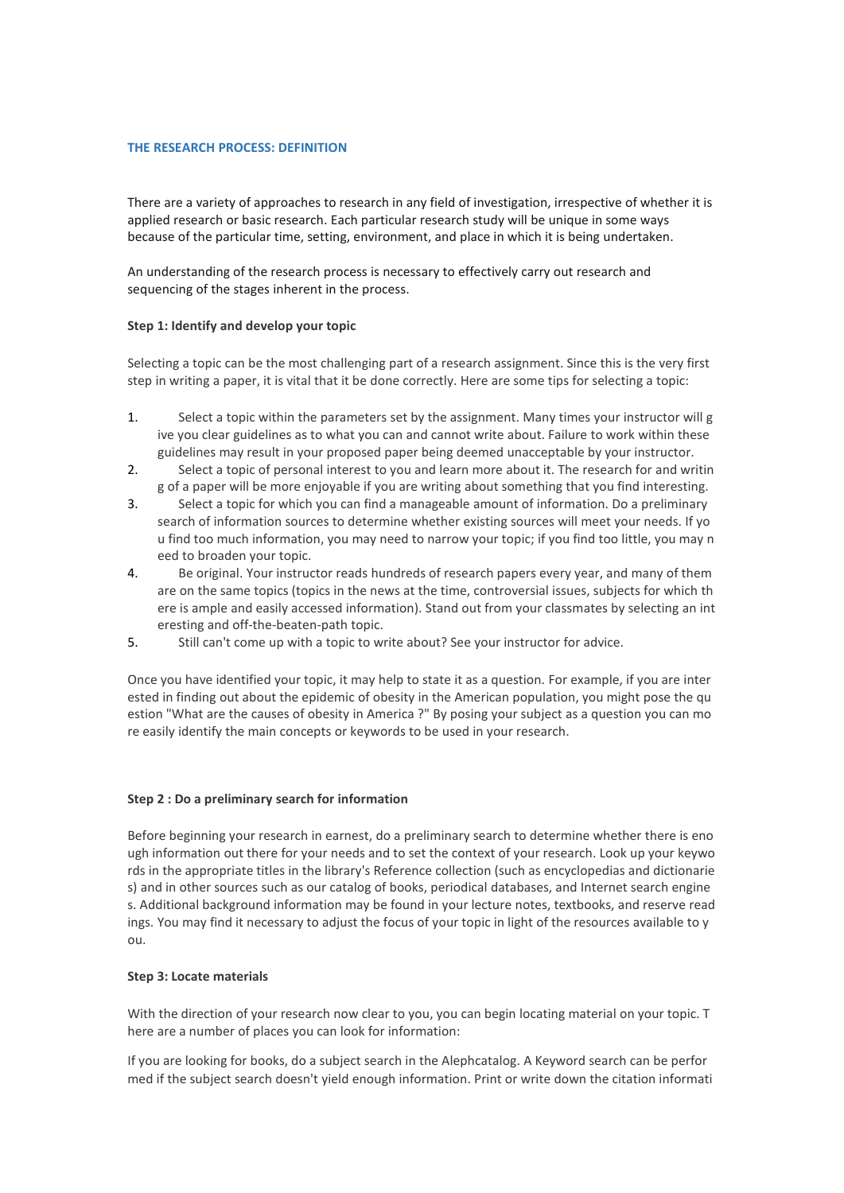## **THE RESEARCH PROCESS: DEFINITION**

There are a variety of approaches to research in any field of investigation, irrespective of whether it is applied research or basic research. Each particular research study will be unique in some ways because of the particular time, setting, environment, and place in which it is being undertaken.

An understanding of the research process is necessary to effectively carry out research and sequencing of the stages inherent in the process.

# **Step 1: Identify and develop your topic**

Selecting a topic can be the most challenging part of a research assignment. Since this is the very first step in writing a paper, it is vital that it be done correctly. Here are some tips for selecting a topic:

- 1. Select a topic within the parameters set by the assignment. Many times your instructor will g ive you clear guidelines as to what you can and cannot write about. Failure to work within these guidelines may result in your proposed paper being deemed unacceptable by your instructor.
- 2. Select a topic of personal interest to you and learn more about it. The research for and writin g of a paper will be more enjoyable if you are writing about something that you find interesting.
- 3. Select a topic forwhich you can find a manageable amount of information. Do a preliminary search of information sources to determine whether existing sources will meet your needs. If yo u find too much information, you may need to narrow your topic; if you find too little, you may n eed to broaden your topic.
- 4. Be original. Your instructor reads hundreds of research papers every year, and many of them are on the same topics (topics in the news at the time, controversial issues, subjects for which th ere is ample and easily accessed information). Stand out from your classmates by selecting an int eresting and off-the-beaten-path topic.
- 5. Still can't come up with a topic to write about? See your instructor for advice.

Once you have identified your topic, it may help to state it as a question. For example, if you are inter ested in finding out about the epidemic of obesity in the American population, you might pose the qu estion "What are the causes of obesity in America ?" By posing your subject as a question you can mo re easily identify the main concepts or keywords to be used in your research.

#### **Step 2 : Do a preliminary search for information**

Before beginning your research in earnest, do a preliminary search to determine whether there is eno ugh information out there for your needs and to set the context of your research. Look up your keywo rds in the appropriate titles in the library's Reference collection (such as encyclopedias and dictionarie s) and in other sources such as our catalog of books, periodical databases, and Internet search engine s. Additional background information may be found in your lecture notes, textbooks, and reserve read ings. You may find it necessary to adjust the focus of your topic in light of the resources available to y ou.

#### **Step 3: Locate materials**

With the direction of your research now clear to you, you can begin locating material on your topic. T here are a number of places you can look for information:

If you are looking for books, do a subject search in the Alephcatalog. A Keyword search can be perfor med if the subject search doesn't yield enough information. Print or write down the citation informati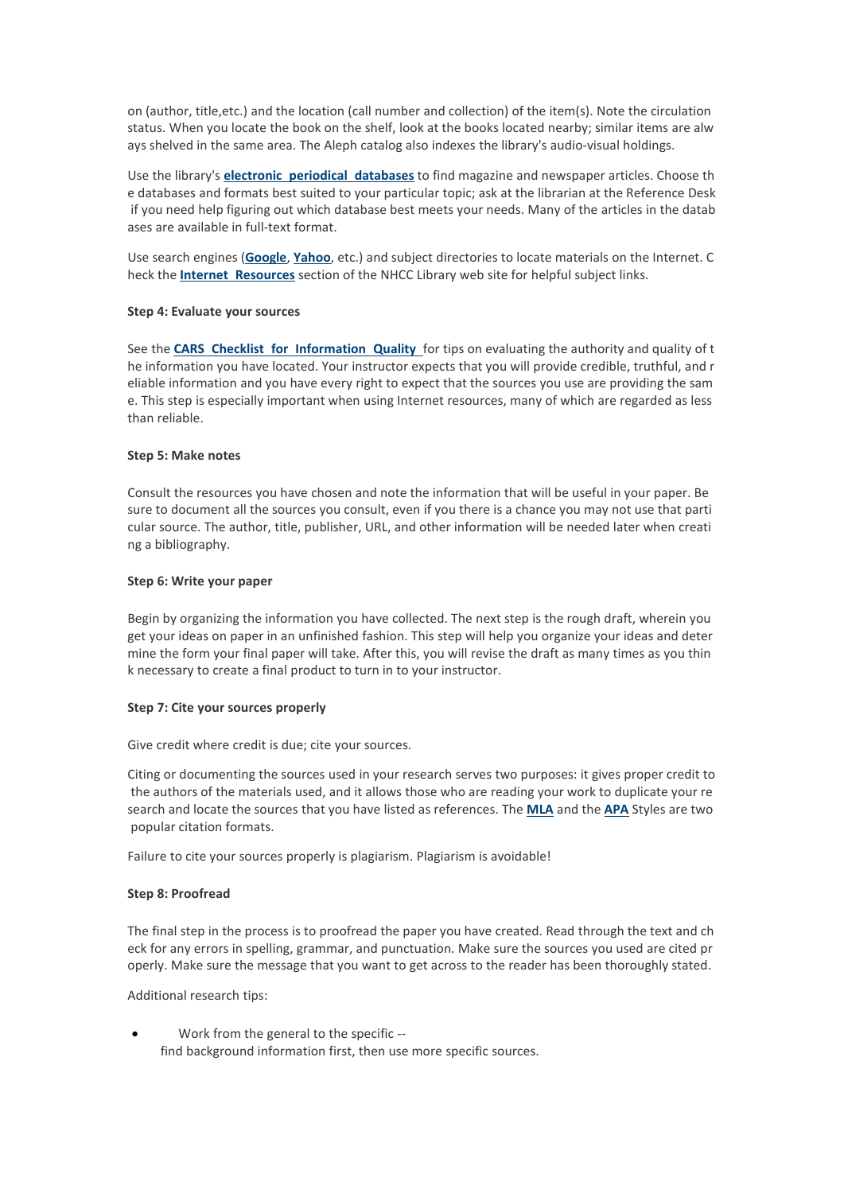on (author, title,etc.) and the location (call number and collection) of the item(s). Note the circulation status. When you locate the book on the shelf, look at the books located nearby; similar items are alw ays shelved in the same area. The Aleph catalog also indexes the library's audio-visual holdings.

Use the library's **electronic periodical [databases](http://www.nhcc.edu/student-resources/library/search-article-databases)** to find magazine and newspaper articles. Choose th e databases and formats best suited to your particular topic; ask at the librarian at the Reference Desk if you need help figuring out which database best meets your needs. Many of the articles in the datab ases are available in full-text format.

Use search engines (**[Google](http://www.google.com/)**, **[Yahoo](http://www.yahoo.com/)**, etc.) and subject directories to locate materials on the Internet. C heck the **Internet [Resources](http://www.nhcc.edu/student-resources/library/internet-resources)** section of the NHCC Library web site for helpful subject links.

## **Step 4: Evaluate your sources**

See the **CARS Checklist for [Information](http://www.nhcc.edu/student-resources/library/doinglibraryresearch/cars-checklist) Quality** for tips on evaluating the authority and quality of t he information you have located. Your instructor expects that you will provide credible, truthful, and r eliable information and you have every right to expect that the sources you use are providing the sam e. This step is especially important when using Internet resources, many of which are regarded as less than reliable.

#### **Step 5: Make notes**

Consult the resources you have chosen and note the information that will be useful in your paper. Be sure to document all the sources you consult, even if you there is a chance you may not use that parti cular source. The author, title, publisher, URL, and other information will be needed later when creati ng a bibliography.

## **Step 6: Write your paper**

Begin by organizing the information you have collected. The next step is the rough draft, wherein you get your ideas on paper in an unfinished fashion. This step will help you organize your ideas and deter mine the form your final paper will take. After this, you will revise the draft as many times as you thin k necessary to create a final product to turn in to your instructor.

#### **Step 7: Cite your sources properly**

Give credit where credit is due; cite your sources.

Citing or documenting the sources used in your research serves two purposes: it gives proper credit to the authors of the materials used, and it allows those who are reading your work to duplicate your re search and locate the sources that you have listed as references. The **[MLA](http://www.nhcc.edu/student-resources/library/doinglibraryresearch/citing-sources-in-mla-style)** and the **[APA](http://www.nhcc.edu/student-resources/library/doinglibraryresearch/citing-sources-in-apa-style)** Styles are two popular citation formats.

Failure to cite your sources properly is plagiarism. Plagiarism is avoidable!

# **Step 8: Proofread**

The final step in the process is to proofread the paper you have created. Read through the text and ch eck for any errors in spelling, grammar, and punctuation. Make sure the sources you used are cited pr operly. Make sure the message that you want to get across to the readerhas been thoroughly stated.

Additional research tips:

 Work from the general to the specific - find background information first, then use more specific sources.